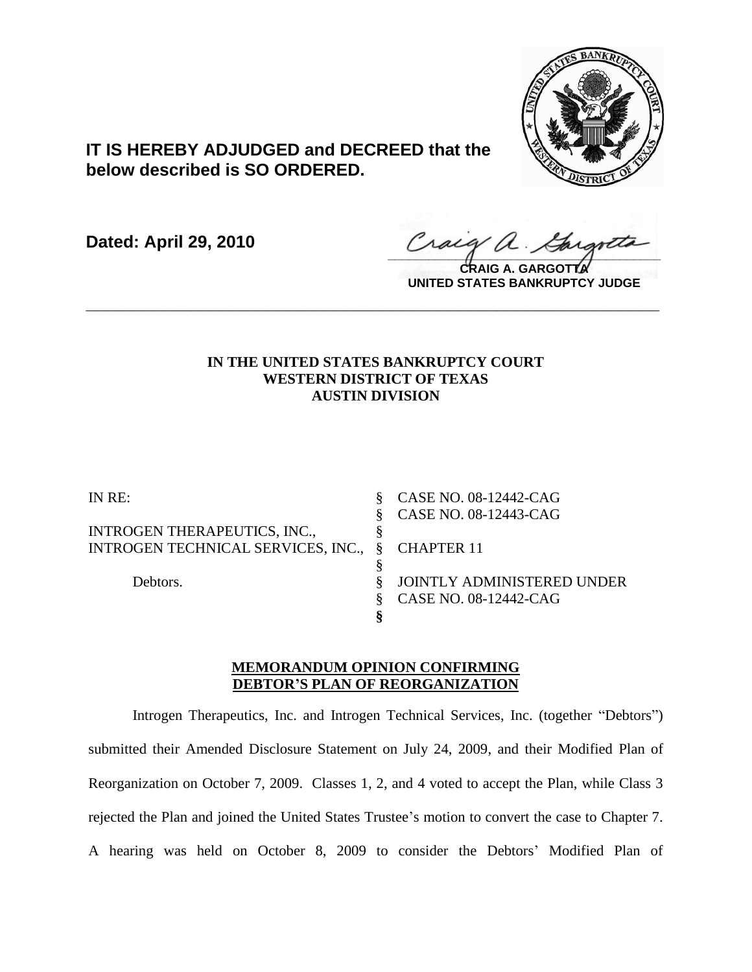

# **IT IS HEREBY ADJUDGED and DECREED that the below described is SO ORDERED.**

**Dated: April 29, 2010**

 $\frac{1}{2}$ 

**CRAIG A. GARGOTTA UNITED STATES BANKRUPTCY JUDGE**

# **IN THE UNITED STATES BANKRUPTCY COURT WESTERN DISTRICT OF TEXAS AUSTIN DIVISION**

**\_\_\_\_\_\_\_\_\_\_\_\_\_\_\_\_\_\_\_\_\_\_\_\_\_\_\_\_\_\_\_\_\_\_\_\_\_\_\_\_\_\_\_\_\_\_\_\_\_\_\_\_\_\_\_\_\_\_\_\_**

| IN RE:                               | CASE NO. 08-12442-CAG      |
|--------------------------------------|----------------------------|
|                                      | CASE NO. 08-12443-CAG      |
| <b>INTROGEN THERAPEUTICS, INC.,</b>  |                            |
| INTROGEN TECHNICAL SERVICES, INC., § | <b>CHAPTER 11</b>          |
|                                      |                            |
| Debtors.                             | JOINTLY ADMINISTERED UNDER |
|                                      | CASE NO. 08-12442-CAG      |
|                                      |                            |

# **MEMORANDUM OPINION CONFIRMING DEBTOR'S PLAN OF REORGANIZATION**

Introgen Therapeutics, Inc. and Introgen Technical Services, Inc. (together "Debtors") submitted their Amended Disclosure Statement on July 24, 2009, and their Modified Plan of Reorganization on October 7, 2009. Classes 1, 2, and 4 voted to accept the Plan, while Class 3 rejected the Plan and joined the United States Trustee's motion to convert the case to Chapter 7. A hearing was held on October 8, 2009 to consider the Debtors' Modified Plan of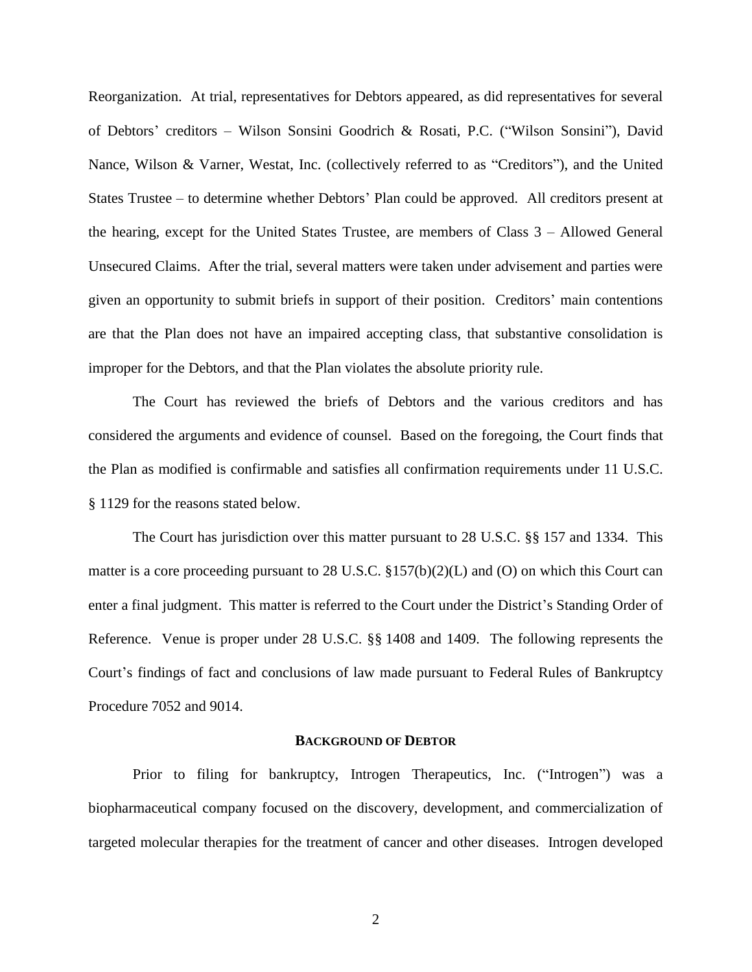Reorganization. At trial, representatives for Debtors appeared, as did representatives for several of Debtors' creditors – Wilson Sonsini Goodrich & Rosati, P.C. ("Wilson Sonsini"), David Nance, Wilson & Varner, Westat, Inc. (collectively referred to as "Creditors"), and the United States Trustee – to determine whether Debtors' Plan could be approved. All creditors present at the hearing, except for the United States Trustee, are members of Class 3 – Allowed General Unsecured Claims. After the trial, several matters were taken under advisement and parties were given an opportunity to submit briefs in support of their position. Creditors' main contentions are that the Plan does not have an impaired accepting class, that substantive consolidation is improper for the Debtors, and that the Plan violates the absolute priority rule.

The Court has reviewed the briefs of Debtors and the various creditors and has considered the arguments and evidence of counsel. Based on the foregoing, the Court finds that the Plan as modified is confirmable and satisfies all confirmation requirements under 11 U.S.C. § 1129 for the reasons stated below.

The Court has jurisdiction over this matter pursuant to 28 U.S.C. §§ 157 and 1334. This matter is a core proceeding pursuant to 28 U.S.C. §157(b)(2)(L) and (O) on which this Court can enter a final judgment. This matter is referred to the Court under the District's Standing Order of Reference. Venue is proper under 28 U.S.C. §§ 1408 and 1409. The following represents the Court's findings of fact and conclusions of law made pursuant to Federal Rules of Bankruptcy Procedure 7052 and 9014.

#### **BACKGROUND OF DEBTOR**

Prior to filing for bankruptcy, Introgen Therapeutics, Inc. ("Introgen") was a biopharmaceutical company focused on the discovery, development, and commercialization of targeted molecular therapies for the treatment of cancer and other diseases. Introgen developed

2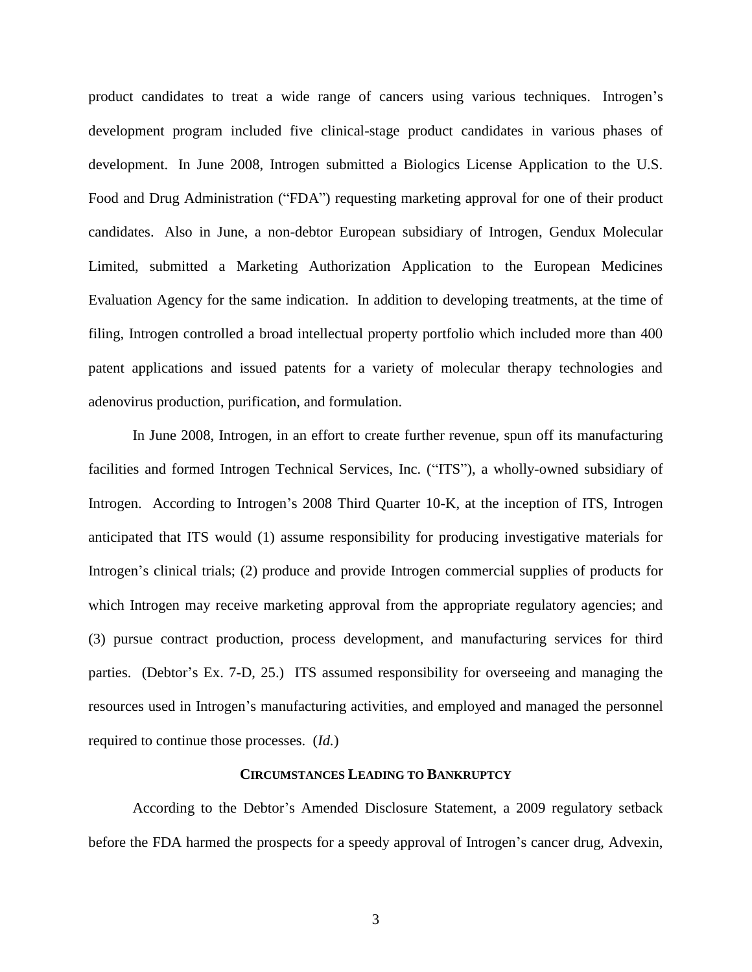product candidates to treat a wide range of cancers using various techniques. Introgen's development program included five clinical-stage product candidates in various phases of development. In June 2008, Introgen submitted a Biologics License Application to the U.S. Food and Drug Administration ("FDA") requesting marketing approval for one of their product candidates. Also in June, a non-debtor European subsidiary of Introgen, Gendux Molecular Limited, submitted a Marketing Authorization Application to the European Medicines Evaluation Agency for the same indication. In addition to developing treatments, at the time of filing, Introgen controlled a broad intellectual property portfolio which included more than 400 patent applications and issued patents for a variety of molecular therapy technologies and adenovirus production, purification, and formulation.

In June 2008, Introgen, in an effort to create further revenue, spun off its manufacturing facilities and formed Introgen Technical Services, Inc. ("ITS"), a wholly-owned subsidiary of Introgen. According to Introgen's 2008 Third Quarter 10-K, at the inception of ITS, Introgen anticipated that ITS would (1) assume responsibility for producing investigative materials for Introgen's clinical trials; (2) produce and provide Introgen commercial supplies of products for which Introgen may receive marketing approval from the appropriate regulatory agencies; and (3) pursue contract production, process development, and manufacturing services for third parties. (Debtor's Ex. 7-D, 25.) ITS assumed responsibility for overseeing and managing the resources used in Introgen's manufacturing activities, and employed and managed the personnel required to continue those processes. (*Id.*)

#### **CIRCUMSTANCES LEADING TO BANKRUPTCY**

According to the Debtor's Amended Disclosure Statement, a 2009 regulatory setback before the FDA harmed the prospects for a speedy approval of Introgen's cancer drug, Advexin,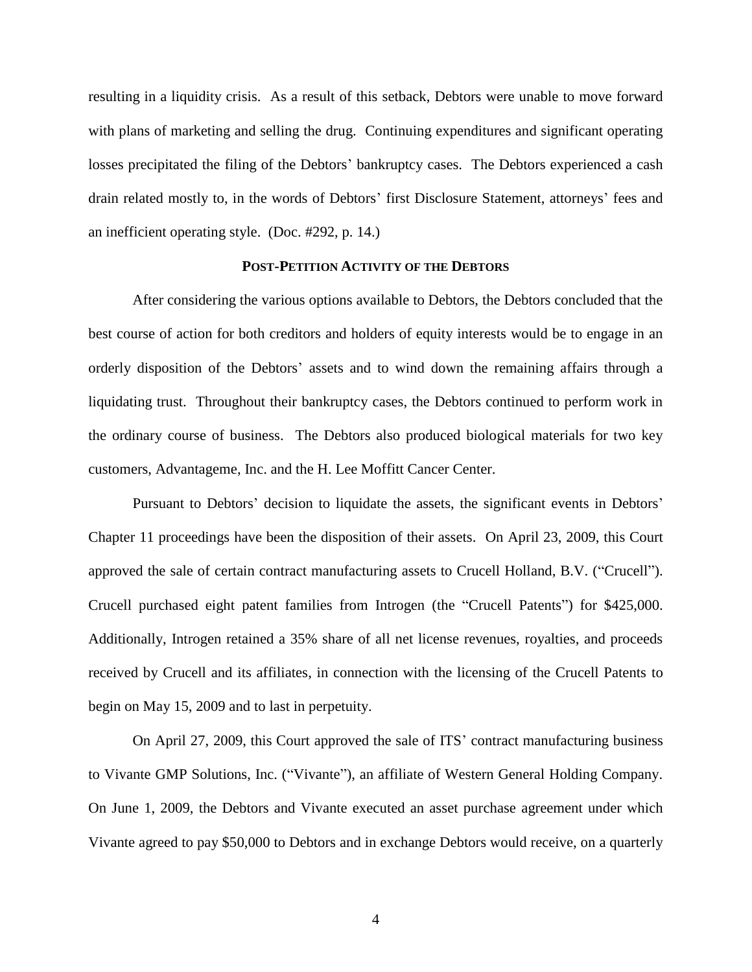resulting in a liquidity crisis. As a result of this setback, Debtors were unable to move forward with plans of marketing and selling the drug. Continuing expenditures and significant operating losses precipitated the filing of the Debtors' bankruptcy cases. The Debtors experienced a cash drain related mostly to, in the words of Debtors' first Disclosure Statement, attorneys' fees and an inefficient operating style. (Doc. #292, p. 14.)

#### **POST-PETITION ACTIVITY OF THE DEBTORS**

After considering the various options available to Debtors, the Debtors concluded that the best course of action for both creditors and holders of equity interests would be to engage in an orderly disposition of the Debtors' assets and to wind down the remaining affairs through a liquidating trust. Throughout their bankruptcy cases, the Debtors continued to perform work in the ordinary course of business. The Debtors also produced biological materials for two key customers, Advantageme, Inc. and the H. Lee Moffitt Cancer Center.

Pursuant to Debtors' decision to liquidate the assets, the significant events in Debtors' Chapter 11 proceedings have been the disposition of their assets. On April 23, 2009, this Court approved the sale of certain contract manufacturing assets to Crucell Holland, B.V. ("Crucell"). Crucell purchased eight patent families from Introgen (the "Crucell Patents") for \$425,000. Additionally, Introgen retained a 35% share of all net license revenues, royalties, and proceeds received by Crucell and its affiliates, in connection with the licensing of the Crucell Patents to begin on May 15, 2009 and to last in perpetuity.

On April 27, 2009, this Court approved the sale of ITS' contract manufacturing business to Vivante GMP Solutions, Inc. ("Vivante"), an affiliate of Western General Holding Company. On June 1, 2009, the Debtors and Vivante executed an asset purchase agreement under which Vivante agreed to pay \$50,000 to Debtors and in exchange Debtors would receive, on a quarterly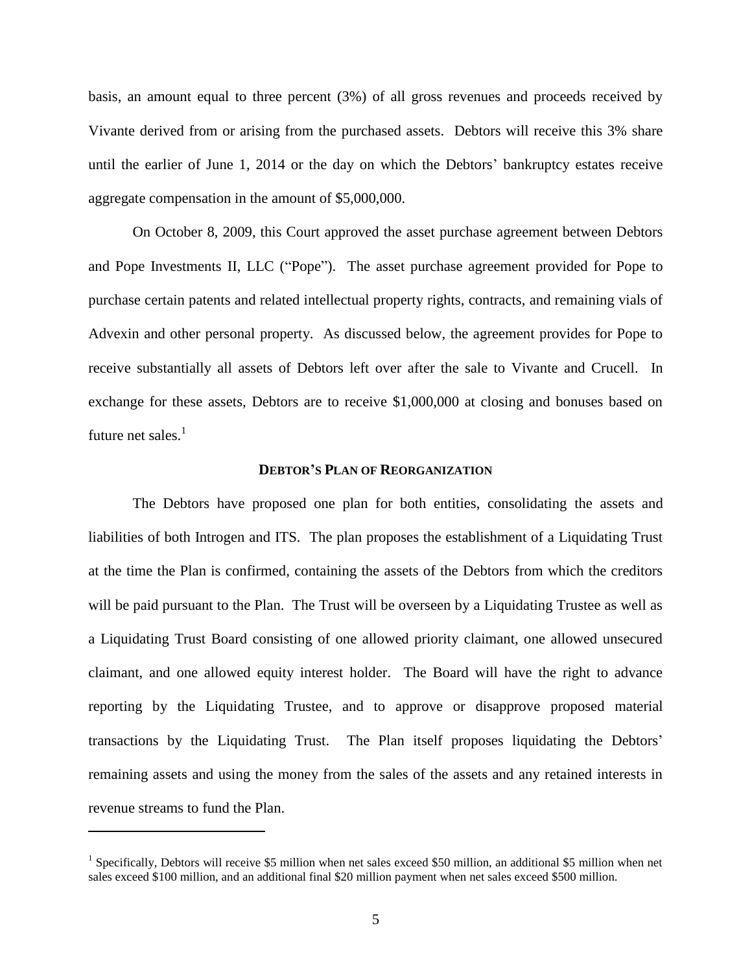basis, an amount equal to three percent (3%) of all gross revenues and proceeds received by Vivante derived from or arising from the purchased assets. Debtors will receive this 3% share until the earlier of June 1, 2014 or the day on which the Debtors' bankruptcy estates receive aggregate compensation in the amount of \$5,000,000.

On October 8, 2009, this Court approved the asset purchase agreement between Debtors and Pope Investments II, LLC ("Pope"). The asset purchase agreement provided for Pope to purchase certain patents and related intellectual property rights, contracts, and remaining vials of Advexin and other personal property. As discussed below, the agreement provides for Pope to receive substantially all assets of Debtors left over after the sale to Vivante and Crucell. In exchange for these assets, Debtors are to receive \$1,000,000 at closing and bonuses based on future net sales. $1$ 

#### **DEBTOR'S PLAN OF REORGANIZATION**

The Debtors have proposed one plan for both entities, consolidating the assets and liabilities of both Introgen and ITS. The plan proposes the establishment of a Liquidating Trust at the time the Plan is confirmed, containing the assets of the Debtors from which the creditors will be paid pursuant to the Plan. The Trust will be overseen by a Liquidating Trustee as well as a Liquidating Trust Board consisting of one allowed priority claimant, one allowed unsecured claimant, and one allowed equity interest holder. The Board will have the right to advance reporting by the Liquidating Trustee, and to approve or disapprove proposed material transactions by the Liquidating Trust. The Plan itself proposes liquidating the Debtors' remaining assets and using the money from the sales of the assets and any retained interests in revenue streams to fund the Plan.

<sup>&</sup>lt;sup>1</sup> Specifically, Debtors will receive \$5 million when net sales exceed \$50 million, an additional \$5 million when net sales exceed \$100 million, and an additional final \$20 million payment when net sales exceed \$500 million.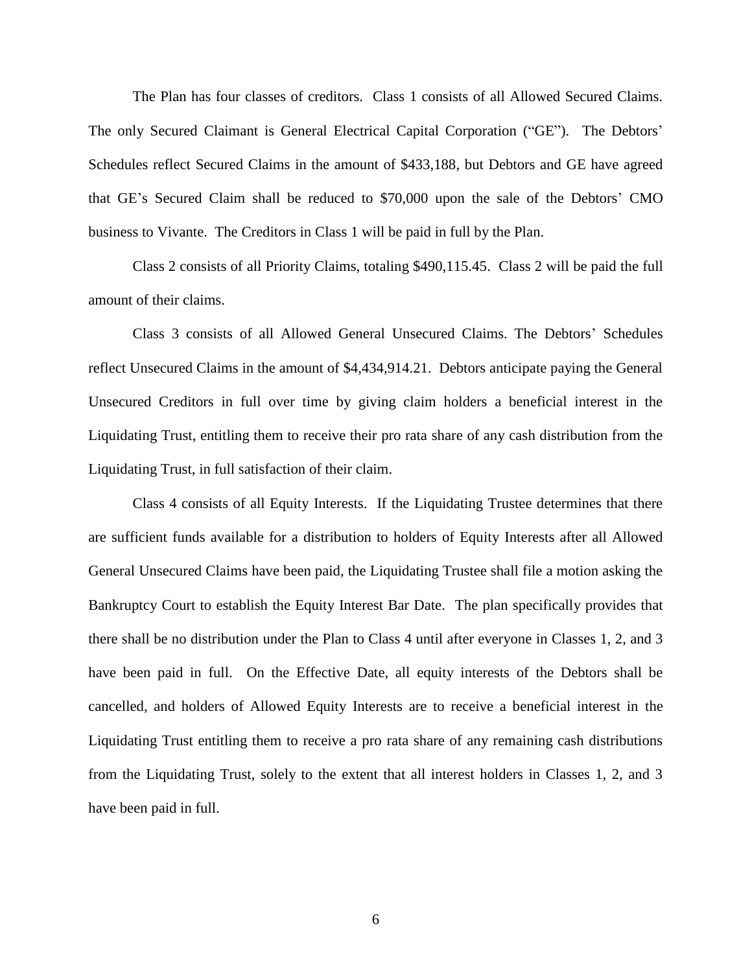The Plan has four classes of creditors. Class 1 consists of all Allowed Secured Claims. The only Secured Claimant is General Electrical Capital Corporation ("GE"). The Debtors' Schedules reflect Secured Claims in the amount of \$433,188, but Debtors and GE have agreed that GE's Secured Claim shall be reduced to \$70,000 upon the sale of the Debtors' CMO business to Vivante. The Creditors in Class 1 will be paid in full by the Plan.

Class 2 consists of all Priority Claims, totaling \$490,115.45. Class 2 will be paid the full amount of their claims.

Class 3 consists of all Allowed General Unsecured Claims. The Debtors' Schedules reflect Unsecured Claims in the amount of \$4,434,914.21. Debtors anticipate paying the General Unsecured Creditors in full over time by giving claim holders a beneficial interest in the Liquidating Trust, entitling them to receive their pro rata share of any cash distribution from the Liquidating Trust, in full satisfaction of their claim.

Class 4 consists of all Equity Interests. If the Liquidating Trustee determines that there are sufficient funds available for a distribution to holders of Equity Interests after all Allowed General Unsecured Claims have been paid, the Liquidating Trustee shall file a motion asking the Bankruptcy Court to establish the Equity Interest Bar Date. The plan specifically provides that there shall be no distribution under the Plan to Class 4 until after everyone in Classes 1, 2, and 3 have been paid in full. On the Effective Date, all equity interests of the Debtors shall be cancelled, and holders of Allowed Equity Interests are to receive a beneficial interest in the Liquidating Trust entitling them to receive a pro rata share of any remaining cash distributions from the Liquidating Trust, solely to the extent that all interest holders in Classes 1, 2, and 3 have been paid in full.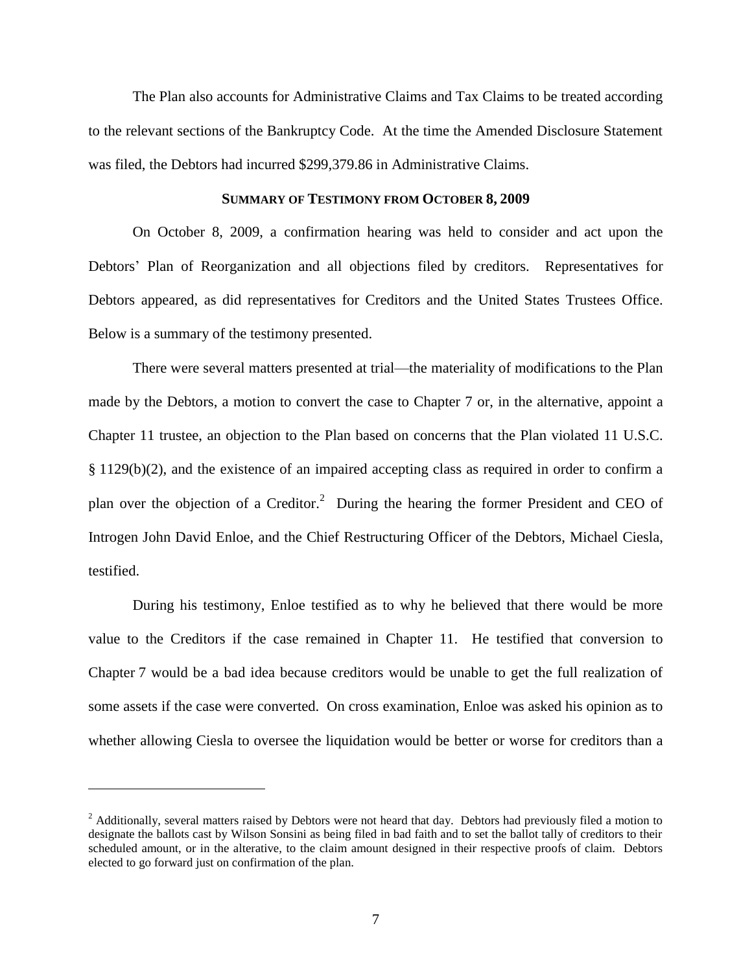The Plan also accounts for Administrative Claims and Tax Claims to be treated according to the relevant sections of the Bankruptcy Code. At the time the Amended Disclosure Statement was filed, the Debtors had incurred \$299,379.86 in Administrative Claims.

#### **SUMMARY OF TESTIMONY FROM OCTOBER 8, 2009**

On October 8, 2009, a confirmation hearing was held to consider and act upon the Debtors' Plan of Reorganization and all objections filed by creditors. Representatives for Debtors appeared, as did representatives for Creditors and the United States Trustees Office. Below is a summary of the testimony presented.

There were several matters presented at trial—the materiality of modifications to the Plan made by the Debtors, a motion to convert the case to Chapter 7 or, in the alternative, appoint a Chapter 11 trustee, an objection to the Plan based on concerns that the Plan violated 11 U.S.C. § 1129(b)(2), and the existence of an impaired accepting class as required in order to confirm a plan over the objection of a Creditor.<sup>2</sup> During the hearing the former President and CEO of Introgen John David Enloe, and the Chief Restructuring Officer of the Debtors, Michael Ciesla, testified.

During his testimony, Enloe testified as to why he believed that there would be more value to the Creditors if the case remained in Chapter 11. He testified that conversion to Chapter 7 would be a bad idea because creditors would be unable to get the full realization of some assets if the case were converted. On cross examination, Enloe was asked his opinion as to whether allowing Ciesla to oversee the liquidation would be better or worse for creditors than a

<sup>&</sup>lt;sup>2</sup> Additionally, several matters raised by Debtors were not heard that day. Debtors had previously filed a motion to designate the ballots cast by Wilson Sonsini as being filed in bad faith and to set the ballot tally of creditors to their scheduled amount, or in the alterative, to the claim amount designed in their respective proofs of claim. Debtors elected to go forward just on confirmation of the plan.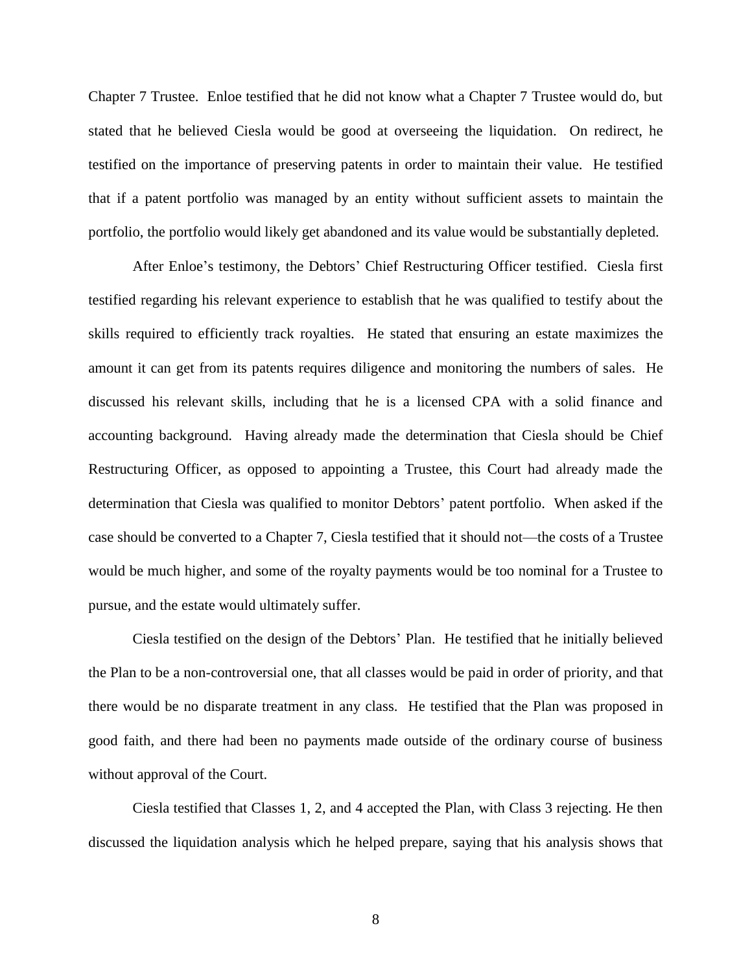Chapter 7 Trustee. Enloe testified that he did not know what a Chapter 7 Trustee would do, but stated that he believed Ciesla would be good at overseeing the liquidation. On redirect, he testified on the importance of preserving patents in order to maintain their value. He testified that if a patent portfolio was managed by an entity without sufficient assets to maintain the portfolio, the portfolio would likely get abandoned and its value would be substantially depleted.

After Enloe's testimony, the Debtors' Chief Restructuring Officer testified. Ciesla first testified regarding his relevant experience to establish that he was qualified to testify about the skills required to efficiently track royalties. He stated that ensuring an estate maximizes the amount it can get from its patents requires diligence and monitoring the numbers of sales. He discussed his relevant skills, including that he is a licensed CPA with a solid finance and accounting background. Having already made the determination that Ciesla should be Chief Restructuring Officer, as opposed to appointing a Trustee, this Court had already made the determination that Ciesla was qualified to monitor Debtors' patent portfolio. When asked if the case should be converted to a Chapter 7, Ciesla testified that it should not—the costs of a Trustee would be much higher, and some of the royalty payments would be too nominal for a Trustee to pursue, and the estate would ultimately suffer.

Ciesla testified on the design of the Debtors' Plan. He testified that he initially believed the Plan to be a non-controversial one, that all classes would be paid in order of priority, and that there would be no disparate treatment in any class. He testified that the Plan was proposed in good faith, and there had been no payments made outside of the ordinary course of business without approval of the Court.

Ciesla testified that Classes 1, 2, and 4 accepted the Plan, with Class 3 rejecting. He then discussed the liquidation analysis which he helped prepare, saying that his analysis shows that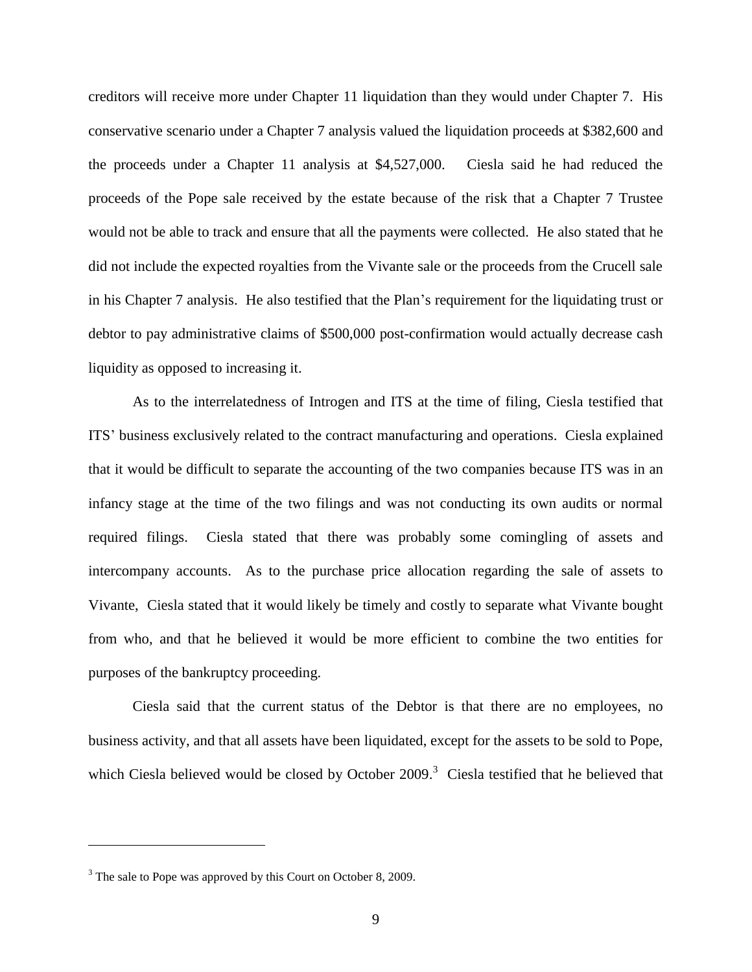creditors will receive more under Chapter 11 liquidation than they would under Chapter 7. His conservative scenario under a Chapter 7 analysis valued the liquidation proceeds at \$382,600 and the proceeds under a Chapter 11 analysis at \$4,527,000. Ciesla said he had reduced the proceeds of the Pope sale received by the estate because of the risk that a Chapter 7 Trustee would not be able to track and ensure that all the payments were collected. He also stated that he did not include the expected royalties from the Vivante sale or the proceeds from the Crucell sale in his Chapter 7 analysis. He also testified that the Plan's requirement for the liquidating trust or debtor to pay administrative claims of \$500,000 post-confirmation would actually decrease cash liquidity as opposed to increasing it.

As to the interrelatedness of Introgen and ITS at the time of filing, Ciesla testified that ITS' business exclusively related to the contract manufacturing and operations. Ciesla explained that it would be difficult to separate the accounting of the two companies because ITS was in an infancy stage at the time of the two filings and was not conducting its own audits or normal required filings. Ciesla stated that there was probably some comingling of assets and intercompany accounts. As to the purchase price allocation regarding the sale of assets to Vivante, Ciesla stated that it would likely be timely and costly to separate what Vivante bought from who, and that he believed it would be more efficient to combine the two entities for purposes of the bankruptcy proceeding.

Ciesla said that the current status of the Debtor is that there are no employees, no business activity, and that all assets have been liquidated, except for the assets to be sold to Pope, which Ciesla believed would be closed by October 2009.<sup>3</sup> Ciesla testified that he believed that

<sup>&</sup>lt;sup>3</sup> The sale to Pope was approved by this Court on October 8, 2009.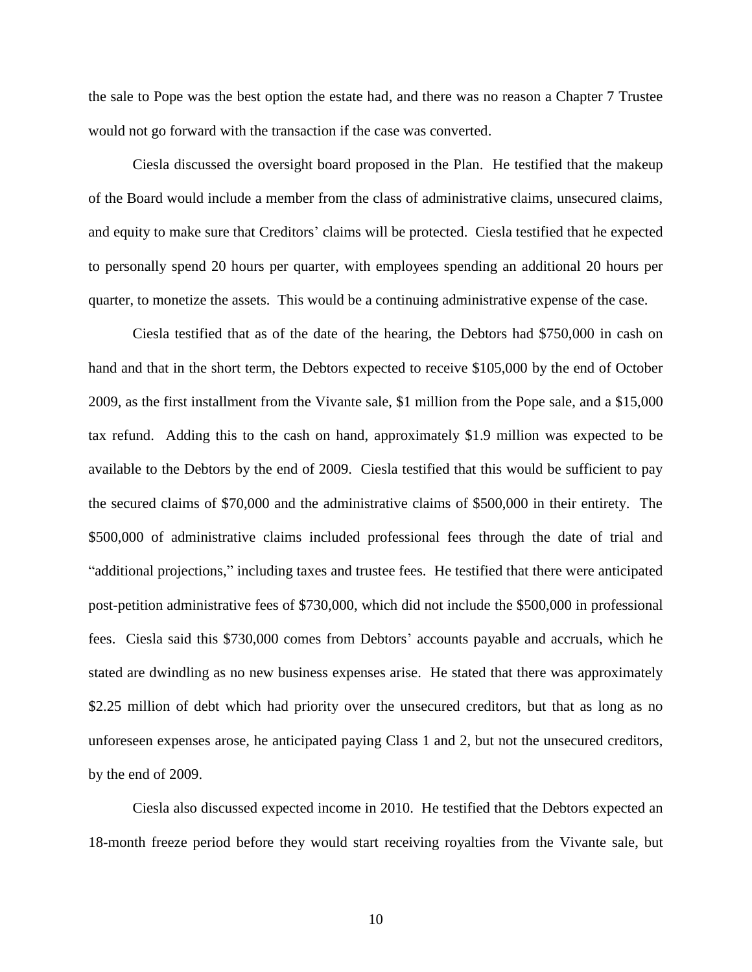the sale to Pope was the best option the estate had, and there was no reason a Chapter 7 Trustee would not go forward with the transaction if the case was converted.

Ciesla discussed the oversight board proposed in the Plan. He testified that the makeup of the Board would include a member from the class of administrative claims, unsecured claims, and equity to make sure that Creditors' claims will be protected. Ciesla testified that he expected to personally spend 20 hours per quarter, with employees spending an additional 20 hours per quarter, to monetize the assets. This would be a continuing administrative expense of the case.

Ciesla testified that as of the date of the hearing, the Debtors had \$750,000 in cash on hand and that in the short term, the Debtors expected to receive \$105,000 by the end of October 2009, as the first installment from the Vivante sale, \$1 million from the Pope sale, and a \$15,000 tax refund. Adding this to the cash on hand, approximately \$1.9 million was expected to be available to the Debtors by the end of 2009. Ciesla testified that this would be sufficient to pay the secured claims of \$70,000 and the administrative claims of \$500,000 in their entirety. The \$500,000 of administrative claims included professional fees through the date of trial and "additional projections," including taxes and trustee fees. He testified that there were anticipated post-petition administrative fees of \$730,000, which did not include the \$500,000 in professional fees. Ciesla said this \$730,000 comes from Debtors' accounts payable and accruals, which he stated are dwindling as no new business expenses arise. He stated that there was approximately \$2.25 million of debt which had priority over the unsecured creditors, but that as long as no unforeseen expenses arose, he anticipated paying Class 1 and 2, but not the unsecured creditors, by the end of 2009.

Ciesla also discussed expected income in 2010. He testified that the Debtors expected an 18-month freeze period before they would start receiving royalties from the Vivante sale, but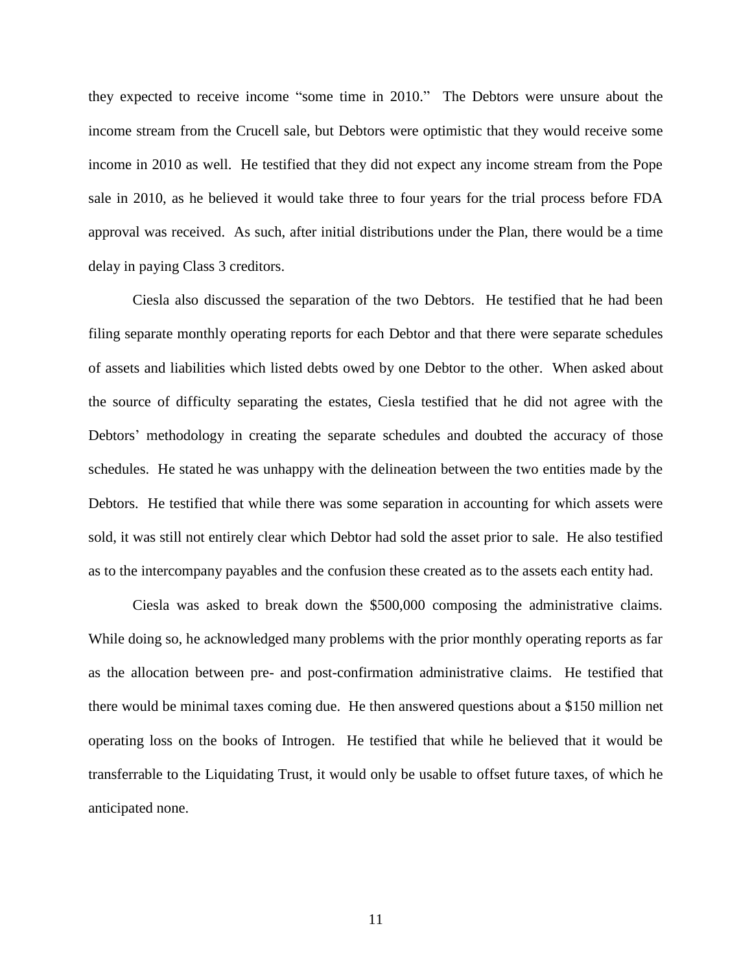they expected to receive income "some time in 2010." The Debtors were unsure about the income stream from the Crucell sale, but Debtors were optimistic that they would receive some income in 2010 as well. He testified that they did not expect any income stream from the Pope sale in 2010, as he believed it would take three to four years for the trial process before FDA approval was received. As such, after initial distributions under the Plan, there would be a time delay in paying Class 3 creditors.

Ciesla also discussed the separation of the two Debtors. He testified that he had been filing separate monthly operating reports for each Debtor and that there were separate schedules of assets and liabilities which listed debts owed by one Debtor to the other. When asked about the source of difficulty separating the estates, Ciesla testified that he did not agree with the Debtors' methodology in creating the separate schedules and doubted the accuracy of those schedules. He stated he was unhappy with the delineation between the two entities made by the Debtors. He testified that while there was some separation in accounting for which assets were sold, it was still not entirely clear which Debtor had sold the asset prior to sale. He also testified as to the intercompany payables and the confusion these created as to the assets each entity had.

Ciesla was asked to break down the \$500,000 composing the administrative claims. While doing so, he acknowledged many problems with the prior monthly operating reports as far as the allocation between pre- and post-confirmation administrative claims. He testified that there would be minimal taxes coming due. He then answered questions about a \$150 million net operating loss on the books of Introgen. He testified that while he believed that it would be transferrable to the Liquidating Trust, it would only be usable to offset future taxes, of which he anticipated none.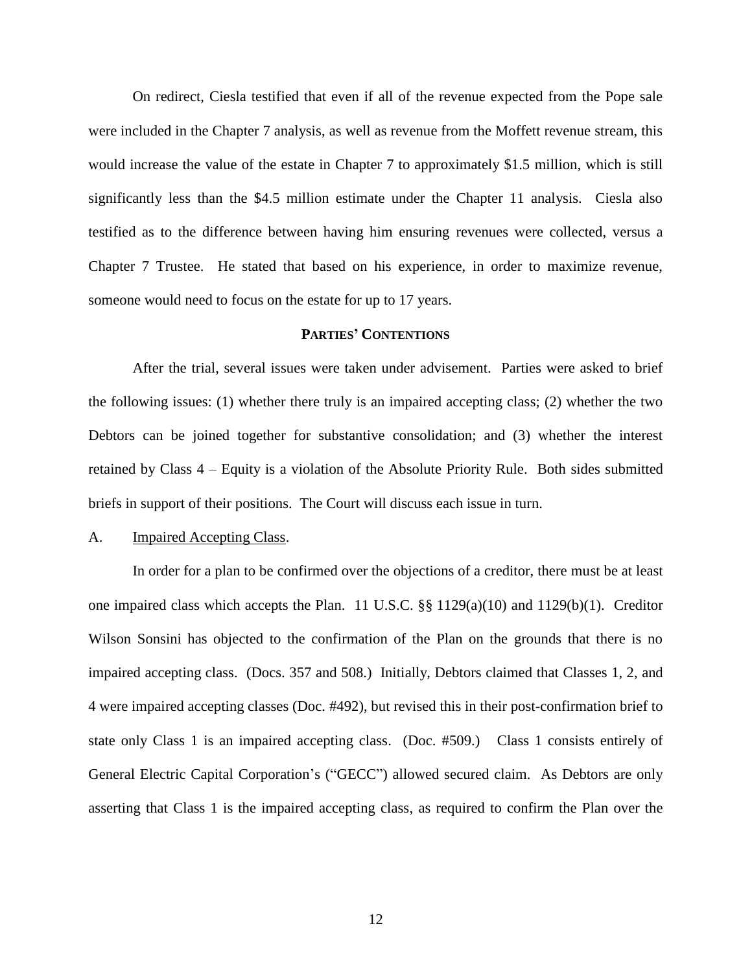On redirect, Ciesla testified that even if all of the revenue expected from the Pope sale were included in the Chapter 7 analysis, as well as revenue from the Moffett revenue stream, this would increase the value of the estate in Chapter 7 to approximately \$1.5 million, which is still significantly less than the \$4.5 million estimate under the Chapter 11 analysis. Ciesla also testified as to the difference between having him ensuring revenues were collected, versus a Chapter 7 Trustee. He stated that based on his experience, in order to maximize revenue, someone would need to focus on the estate for up to 17 years.

### **PARTIES' CONTENTIONS**

After the trial, several issues were taken under advisement. Parties were asked to brief the following issues: (1) whether there truly is an impaired accepting class; (2) whether the two Debtors can be joined together for substantive consolidation; and (3) whether the interest retained by Class 4 – Equity is a violation of the Absolute Priority Rule. Both sides submitted briefs in support of their positions. The Court will discuss each issue in turn.

## A. Impaired Accepting Class.

In order for a plan to be confirmed over the objections of a creditor, there must be at least one impaired class which accepts the Plan. 11 U.S.C. §§ 1129(a)(10) and 1129(b)(1). Creditor Wilson Sonsini has objected to the confirmation of the Plan on the grounds that there is no impaired accepting class. (Docs. 357 and 508.) Initially, Debtors claimed that Classes 1, 2, and 4 were impaired accepting classes (Doc. #492), but revised this in their post-confirmation brief to state only Class 1 is an impaired accepting class. (Doc. #509.) Class 1 consists entirely of General Electric Capital Corporation's ("GECC") allowed secured claim. As Debtors are only asserting that Class 1 is the impaired accepting class, as required to confirm the Plan over the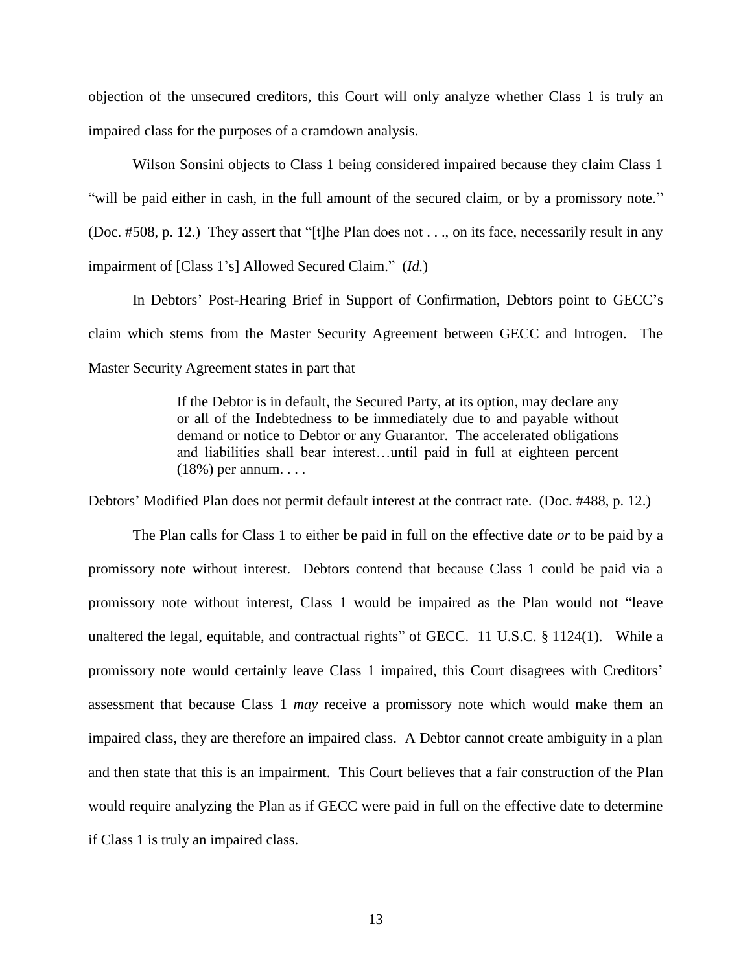objection of the unsecured creditors, this Court will only analyze whether Class 1 is truly an impaired class for the purposes of a cramdown analysis.

Wilson Sonsini objects to Class 1 being considered impaired because they claim Class 1 "will be paid either in cash, in the full amount of the secured claim, or by a promissory note." (Doc. #508, p. 12.) They assert that "[t]he Plan does not  $\dots$ , on its face, necessarily result in any impairment of [Class 1's] Allowed Secured Claim." (*Id.*)

In Debtors' Post-Hearing Brief in Support of Confirmation, Debtors point to GECC's claim which stems from the Master Security Agreement between GECC and Introgen. The Master Security Agreement states in part that

> If the Debtor is in default, the Secured Party, at its option, may declare any or all of the Indebtedness to be immediately due to and payable without demand or notice to Debtor or any Guarantor. The accelerated obligations and liabilities shall bear interest…until paid in full at eighteen percent (18%) per annum. . . .

Debtors' Modified Plan does not permit default interest at the contract rate. (Doc. #488, p. 12.)

The Plan calls for Class 1 to either be paid in full on the effective date *or* to be paid by a promissory note without interest. Debtors contend that because Class 1 could be paid via a promissory note without interest, Class 1 would be impaired as the Plan would not "leave unaltered the legal, equitable, and contractual rights" of GECC.  $11$  U.S.C. § 1124(1). While a promissory note would certainly leave Class 1 impaired, this Court disagrees with Creditors' assessment that because Class 1 *may* receive a promissory note which would make them an impaired class, they are therefore an impaired class. A Debtor cannot create ambiguity in a plan and then state that this is an impairment. This Court believes that a fair construction of the Plan would require analyzing the Plan as if GECC were paid in full on the effective date to determine if Class 1 is truly an impaired class.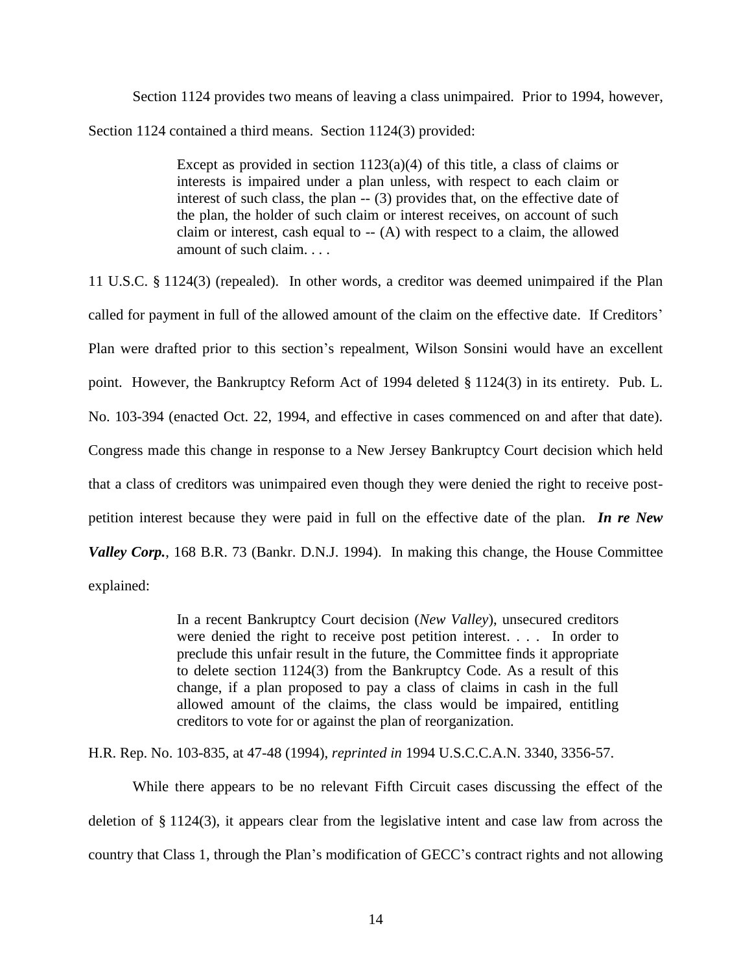Section 1124 provides two means of leaving a class unimpaired. Prior to 1994, however, Section 1124 contained a third means. Section 1124(3) provided:

> Except as provided in section  $1123(a)(4)$  of this title, a class of claims or interests is impaired under a plan unless, with respect to each claim or interest of such class, the plan -- (3) provides that, on the effective date of the plan, the holder of such claim or interest receives, on account of such claim or interest, cash equal to  $-$  (A) with respect to a claim, the allowed amount of such claim. . . .

11 U.S.C. § 1124(3) (repealed). In other words, a creditor was deemed unimpaired if the Plan called for payment in full of the allowed amount of the claim on the effective date. If Creditors' Plan were drafted prior to this section's repealment, Wilson Sonsini would have an excellent point. However, the Bankruptcy Reform Act of 1994 deleted § 1124(3) in its entirety. Pub. L. No. 103-394 (enacted Oct. 22, 1994, and effective in cases commenced on and after that date). Congress made this change in response to a New Jersey Bankruptcy Court decision which held that a class of creditors was unimpaired even though they were denied the right to receive postpetition interest because they were paid in full on the effective date of the plan. *In re New Valley Corp.*, 168 B.R. 73 (Bankr. D.N.J. 1994). In making this change, the House Committee explained:

> In a recent Bankruptcy Court decision (*New Valley*), unsecured creditors were denied the right to receive post petition interest. . . . In order to preclude this unfair result in the future, the Committee finds it appropriate to delete section 1124(3) from the Bankruptcy Code. As a result of this change, if a plan proposed to pay a class of claims in cash in the full allowed amount of the claims, the class would be impaired, entitling creditors to vote for or against the plan of reorganization.

H.R. Rep. No. 103-835, at 47-48 (1994), *reprinted in* 1994 U.S.C.C.A.N. 3340, 3356-57.

While there appears to be no relevant Fifth Circuit cases discussing the effect of the deletion of § 1124(3), it appears clear from the legislative intent and case law from across the country that Class 1, through the Plan's modification of GECC's contract rights and not allowing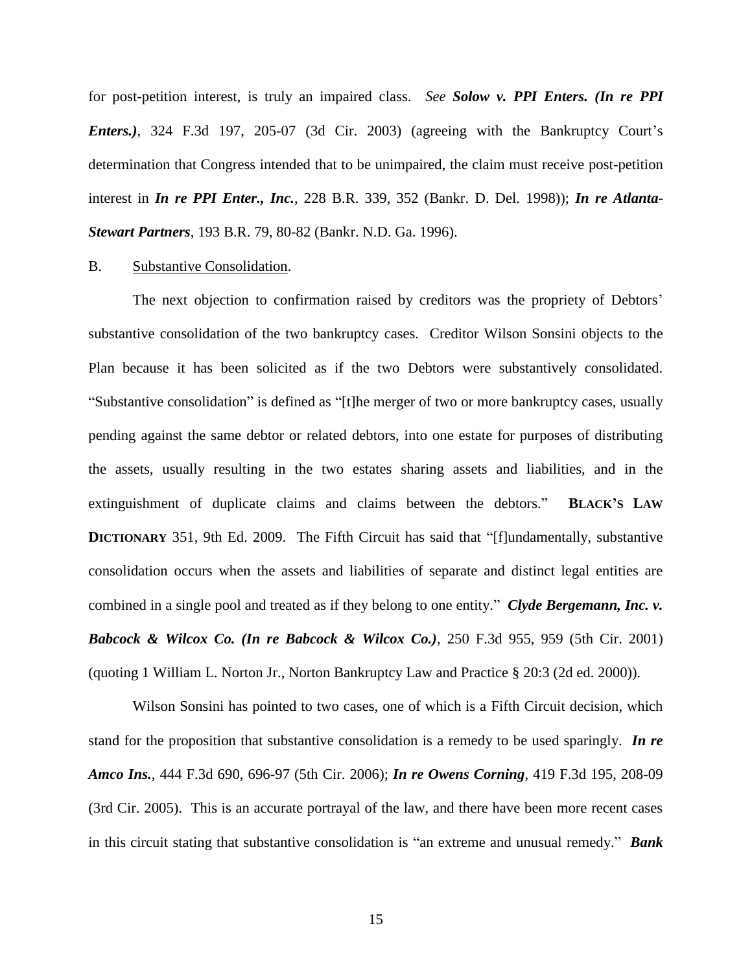for post-petition interest, is truly an impaired class. *See Solow v. PPI Enters. (In re PPI Enters.)*, 324 F.3d 197, 205-07 (3d Cir. 2003) (agreeing with the Bankruptcy Court's determination that Congress intended that to be unimpaired, the claim must receive post-petition interest in *In re PPI Enter., Inc.*, 228 B.R. 339, 352 (Bankr. D. Del. 1998)); *In re Atlanta-Stewart Partners*, 193 B.R. 79, 80-82 (Bankr. N.D. Ga. 1996).

#### B. Substantive Consolidation.

The next objection to confirmation raised by creditors was the propriety of Debtors' substantive consolidation of the two bankruptcy cases. Creditor Wilson Sonsini objects to the Plan because it has been solicited as if the two Debtors were substantively consolidated. ―Substantive consolidation‖ is defined as ―[t]he merger of two or more bankruptcy cases, usually pending against the same debtor or related debtors, into one estate for purposes of distributing the assets, usually resulting in the two estates sharing assets and liabilities, and in the extinguishment of duplicate claims and claims between the debtors.‖ **BLACK'S LAW DICTIONARY** 351, 9th Ed. 2009. The Fifth Circuit has said that "[f]undamentally, substantive consolidation occurs when the assets and liabilities of separate and distinct legal entities are combined in a single pool and treated as if they belong to one entity." *Clyde Bergemann, Inc. v. Babcock & Wilcox Co. (In re Babcock & Wilcox Co.)*, 250 F.3d 955, 959 (5th Cir. 2001) (quoting 1 William L. Norton Jr., Norton Bankruptcy Law and Practice § 20:3 (2d ed. 2000)).

Wilson Sonsini has pointed to two cases, one of which is a Fifth Circuit decision, which stand for the proposition that substantive consolidation is a remedy to be used sparingly. *In re Amco Ins.*, 444 F.3d 690, 696-97 (5th Cir. 2006); *In re Owens Corning*, 419 F.3d 195, 208-09 (3rd Cir. 2005). This is an accurate portrayal of the law, and there have been more recent cases in this circuit stating that substantive consolidation is "an extreme and unusual remedy." **Bank**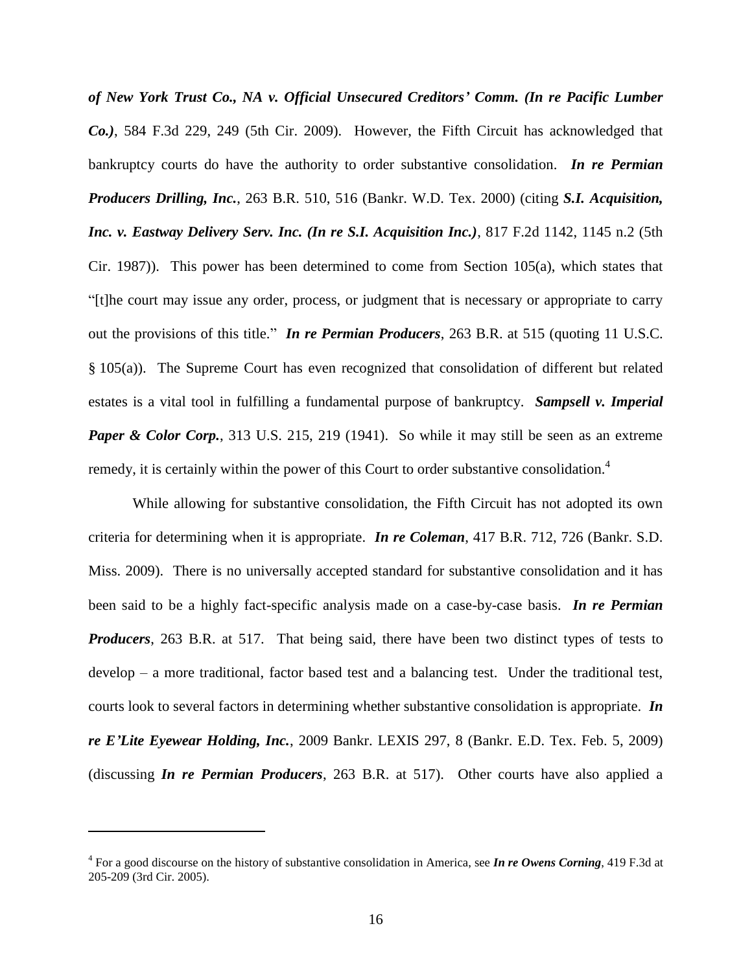*of New York Trust Co., NA v. Official Unsecured Creditors' Comm. (In re Pacific Lumber Co.)*, 584 F.3d 229, 249 (5th Cir. 2009). However, the Fifth Circuit has acknowledged that bankruptcy courts do have the authority to order substantive consolidation. *In re Permian Producers Drilling, Inc.*, 263 B.R. 510, 516 (Bankr. W.D. Tex. 2000) (citing *S.I. Acquisition, Inc. v. Eastway Delivery Serv. Inc. (In re S.I. Acquisition Inc.)*, 817 F.2d 1142, 1145 n.2 (5th Cir. 1987)). This power has been determined to come from Section 105(a), which states that ―[t]he court may issue any order, process, or judgment that is necessary or appropriate to carry out the provisions of this title." *In re Permian Producers*, 263 B.R. at 515 (quoting 11 U.S.C. § 105(a)). The Supreme Court has even recognized that consolidation of different but related estates is a vital tool in fulfilling a fundamental purpose of bankruptcy. *Sampsell v. Imperial Paper & Color Corp.*, 313 U.S. 215, 219 (1941). So while it may still be seen as an extreme remedy, it is certainly within the power of this Court to order substantive consolidation.<sup>4</sup>

While allowing for substantive consolidation, the Fifth Circuit has not adopted its own criteria for determining when it is appropriate. *In re Coleman*, 417 B.R. 712, 726 (Bankr. S.D. Miss. 2009). There is no universally accepted standard for substantive consolidation and it has been said to be a highly fact-specific analysis made on a case-by-case basis. *In re Permian Producers*, 263 B.R. at 517. That being said, there have been two distinct types of tests to develop – a more traditional, factor based test and a balancing test. Under the traditional test, courts look to several factors in determining whether substantive consolidation is appropriate. *In re E'Lite Eyewear Holding, Inc.*, 2009 Bankr. LEXIS 297, 8 (Bankr. E.D. Tex. Feb. 5, 2009) (discussing *In re Permian Producers*, 263 B.R. at 517). Other courts have also applied a

<sup>4</sup> For a good discourse on the history of substantive consolidation in America, see *In re Owens Corning*, 419 F.3d at 205-209 (3rd Cir. 2005).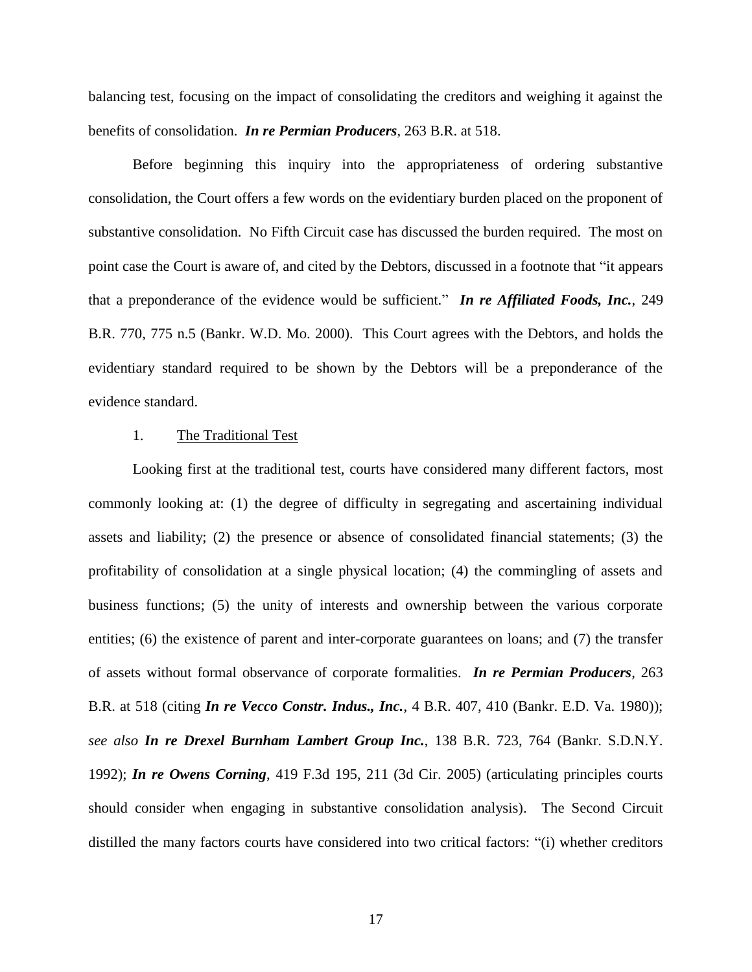balancing test, focusing on the impact of consolidating the creditors and weighing it against the benefits of consolidation. *In re Permian Producers*, 263 B.R. at 518.

Before beginning this inquiry into the appropriateness of ordering substantive consolidation, the Court offers a few words on the evidentiary burden placed on the proponent of substantive consolidation. No Fifth Circuit case has discussed the burden required. The most on point case the Court is aware of, and cited by the Debtors, discussed in a footnote that "it appears" that a preponderance of the evidence would be sufficient." In re Affiliated Foods, Inc., 249 B.R. 770, 775 n.5 (Bankr. W.D. Mo. 2000). This Court agrees with the Debtors, and holds the evidentiary standard required to be shown by the Debtors will be a preponderance of the evidence standard.

# 1. The Traditional Test

Looking first at the traditional test, courts have considered many different factors, most commonly looking at: (1) the degree of difficulty in segregating and ascertaining individual assets and liability; (2) the presence or absence of consolidated financial statements; (3) the profitability of consolidation at a single physical location; (4) the commingling of assets and business functions; (5) the unity of interests and ownership between the various corporate entities; (6) the existence of parent and inter-corporate guarantees on loans; and (7) the transfer of assets without formal observance of corporate formalities. *In re Permian Producers*, 263 B.R. at 518 (citing *In re Vecco Constr. Indus., Inc.*, 4 B.R. 407, 410 (Bankr. E.D. Va. 1980)); *see also In re Drexel Burnham Lambert Group Inc.*, 138 B.R. 723, 764 (Bankr. S.D.N.Y. 1992); *In re Owens Corning*, 419 F.3d 195, 211 (3d Cir. 2005) (articulating principles courts should consider when engaging in substantive consolidation analysis). The Second Circuit distilled the many factors courts have considered into two critical factors: "(i) whether creditors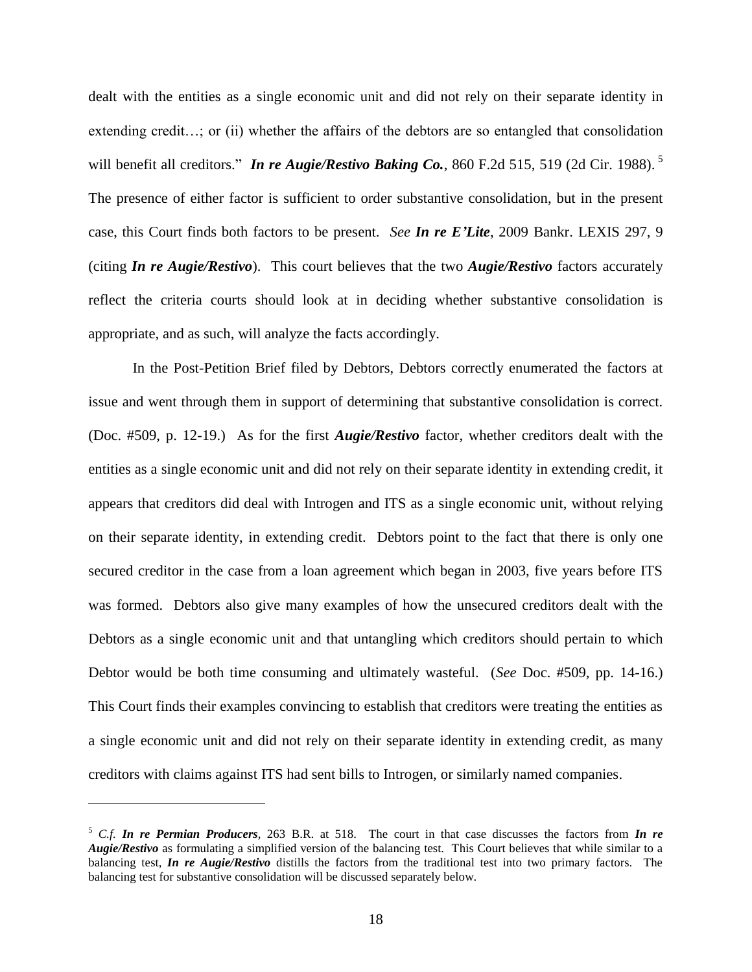dealt with the entities as a single economic unit and did not rely on their separate identity in extending credit…; or (ii) whether the affairs of the debtors are so entangled that consolidation will benefit all creditors." *In re Augie/Restivo Baking Co.*, 860 F.2d 515, 519 (2d Cir. 1988).<sup>5</sup> The presence of either factor is sufficient to order substantive consolidation, but in the present case, this Court finds both factors to be present. *See In re E'Lite*, 2009 Bankr. LEXIS 297, 9 (citing *In re Augie/Restivo*). This court believes that the two *Augie/Restivo* factors accurately reflect the criteria courts should look at in deciding whether substantive consolidation is appropriate, and as such, will analyze the facts accordingly.

In the Post-Petition Brief filed by Debtors, Debtors correctly enumerated the factors at issue and went through them in support of determining that substantive consolidation is correct. (Doc. #509, p. 12-19.) As for the first *Augie/Restivo* factor, whether creditors dealt with the entities as a single economic unit and did not rely on their separate identity in extending credit, it appears that creditors did deal with Introgen and ITS as a single economic unit, without relying on their separate identity, in extending credit. Debtors point to the fact that there is only one secured creditor in the case from a loan agreement which began in 2003, five years before ITS was formed. Debtors also give many examples of how the unsecured creditors dealt with the Debtors as a single economic unit and that untangling which creditors should pertain to which Debtor would be both time consuming and ultimately wasteful. (*See* Doc. #509, pp. 14-16.) This Court finds their examples convincing to establish that creditors were treating the entities as a single economic unit and did not rely on their separate identity in extending credit, as many creditors with claims against ITS had sent bills to Introgen, or similarly named companies.

<sup>5</sup> *C.f. In re Permian Producers*, 263 B.R. at 518. The court in that case discusses the factors from *In re Augie/Restivo* as formulating a simplified version of the balancing test. This Court believes that while similar to a balancing test, *In re Augie/Restivo* distills the factors from the traditional test into two primary factors. The balancing test for substantive consolidation will be discussed separately below.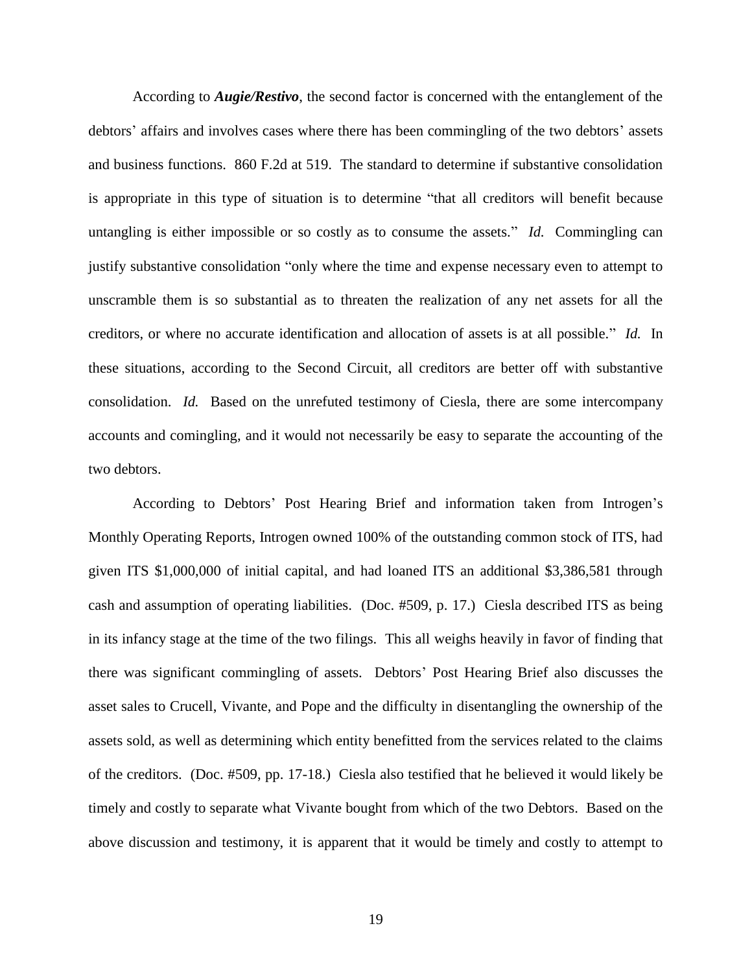According to *Augie/Restivo*, the second factor is concerned with the entanglement of the debtors' affairs and involves cases where there has been commingling of the two debtors' assets and business functions. 860 F.2d at 519. The standard to determine if substantive consolidation is appropriate in this type of situation is to determine "that all creditors will benefit because untangling is either impossible or so costly as to consume the assets." *Id.* Commingling can justify substantive consolidation "only where the time and expense necessary even to attempt to unscramble them is so substantial as to threaten the realization of any net assets for all the creditors, or where no accurate identification and allocation of assets is at all possible." *Id.* In these situations, according to the Second Circuit, all creditors are better off with substantive consolidation. *Id.* Based on the unrefuted testimony of Ciesla, there are some intercompany accounts and comingling, and it would not necessarily be easy to separate the accounting of the two debtors.

According to Debtors' Post Hearing Brief and information taken from Introgen's Monthly Operating Reports, Introgen owned 100% of the outstanding common stock of ITS, had given ITS \$1,000,000 of initial capital, and had loaned ITS an additional \$3,386,581 through cash and assumption of operating liabilities. (Doc. #509, p. 17.) Ciesla described ITS as being in its infancy stage at the time of the two filings. This all weighs heavily in favor of finding that there was significant commingling of assets. Debtors' Post Hearing Brief also discusses the asset sales to Crucell, Vivante, and Pope and the difficulty in disentangling the ownership of the assets sold, as well as determining which entity benefitted from the services related to the claims of the creditors. (Doc. #509, pp. 17-18.) Ciesla also testified that he believed it would likely be timely and costly to separate what Vivante bought from which of the two Debtors. Based on the above discussion and testimony, it is apparent that it would be timely and costly to attempt to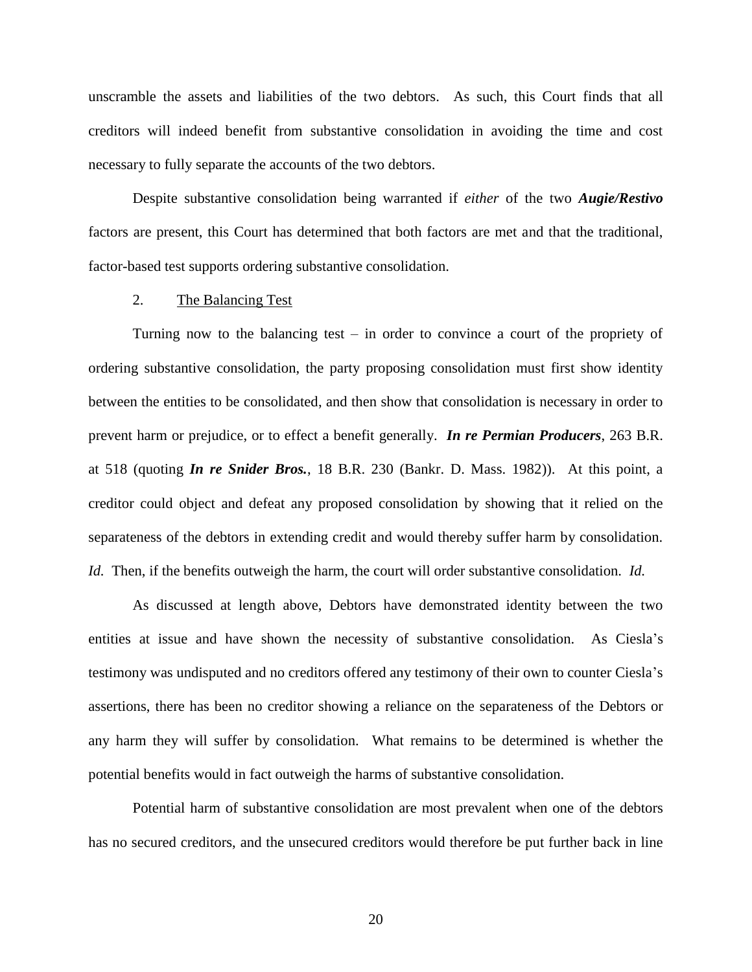unscramble the assets and liabilities of the two debtors. As such, this Court finds that all creditors will indeed benefit from substantive consolidation in avoiding the time and cost necessary to fully separate the accounts of the two debtors.

Despite substantive consolidation being warranted if *either* of the two *Augie/Restivo* factors are present, this Court has determined that both factors are met and that the traditional, factor-based test supports ordering substantive consolidation.

# 2. The Balancing Test

Turning now to the balancing test – in order to convince a court of the propriety of ordering substantive consolidation, the party proposing consolidation must first show identity between the entities to be consolidated, and then show that consolidation is necessary in order to prevent harm or prejudice, or to effect a benefit generally. *In re Permian Producers*, 263 B.R. at 518 (quoting *In re Snider Bros.*, 18 B.R. 230 (Bankr. D. Mass. 1982)). At this point, a creditor could object and defeat any proposed consolidation by showing that it relied on the separateness of the debtors in extending credit and would thereby suffer harm by consolidation. *Id.* Then, if the benefits outweigh the harm, the court will order substantive consolidation. *Id.*

As discussed at length above, Debtors have demonstrated identity between the two entities at issue and have shown the necessity of substantive consolidation. As Ciesla's testimony was undisputed and no creditors offered any testimony of their own to counter Ciesla's assertions, there has been no creditor showing a reliance on the separateness of the Debtors or any harm they will suffer by consolidation. What remains to be determined is whether the potential benefits would in fact outweigh the harms of substantive consolidation.

Potential harm of substantive consolidation are most prevalent when one of the debtors has no secured creditors, and the unsecured creditors would therefore be put further back in line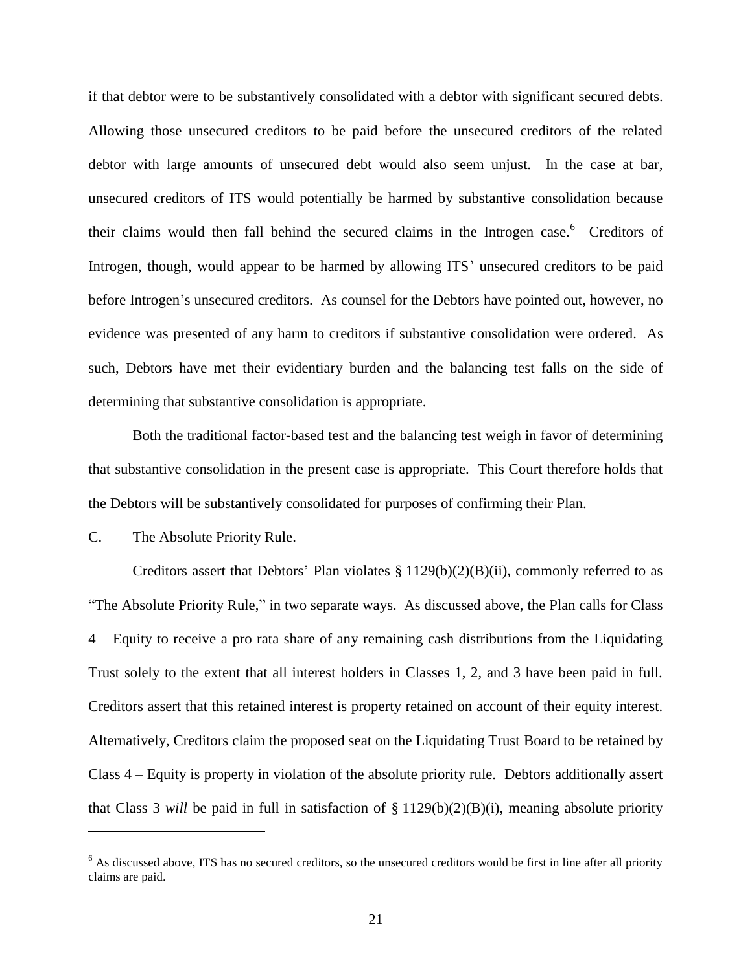if that debtor were to be substantively consolidated with a debtor with significant secured debts. Allowing those unsecured creditors to be paid before the unsecured creditors of the related debtor with large amounts of unsecured debt would also seem unjust. In the case at bar, unsecured creditors of ITS would potentially be harmed by substantive consolidation because their claims would then fall behind the secured claims in the Introgen case.<sup>6</sup> Creditors of Introgen, though, would appear to be harmed by allowing ITS' unsecured creditors to be paid before Introgen's unsecured creditors. As counsel for the Debtors have pointed out, however, no evidence was presented of any harm to creditors if substantive consolidation were ordered. As such, Debtors have met their evidentiary burden and the balancing test falls on the side of determining that substantive consolidation is appropriate.

Both the traditional factor-based test and the balancing test weigh in favor of determining that substantive consolidation in the present case is appropriate. This Court therefore holds that the Debtors will be substantively consolidated for purposes of confirming their Plan.

# C. The Absolute Priority Rule.

 $\overline{a}$ 

Creditors assert that Debtors' Plan violates  $\S 1129(b)(2)(B)(ii)$ , commonly referred to as "The Absolute Priority Rule," in two separate ways. As discussed above, the Plan calls for Class 4 – Equity to receive a pro rata share of any remaining cash distributions from the Liquidating Trust solely to the extent that all interest holders in Classes 1, 2, and 3 have been paid in full. Creditors assert that this retained interest is property retained on account of their equity interest. Alternatively, Creditors claim the proposed seat on the Liquidating Trust Board to be retained by Class 4 – Equity is property in violation of the absolute priority rule. Debtors additionally assert that Class 3 *will* be paid in full in satisfaction of  $\S 1129(b)(2)(B)(i)$ , meaning absolute priority

<sup>&</sup>lt;sup>6</sup> As discussed above, ITS has no secured creditors, so the unsecured creditors would be first in line after all priority claims are paid.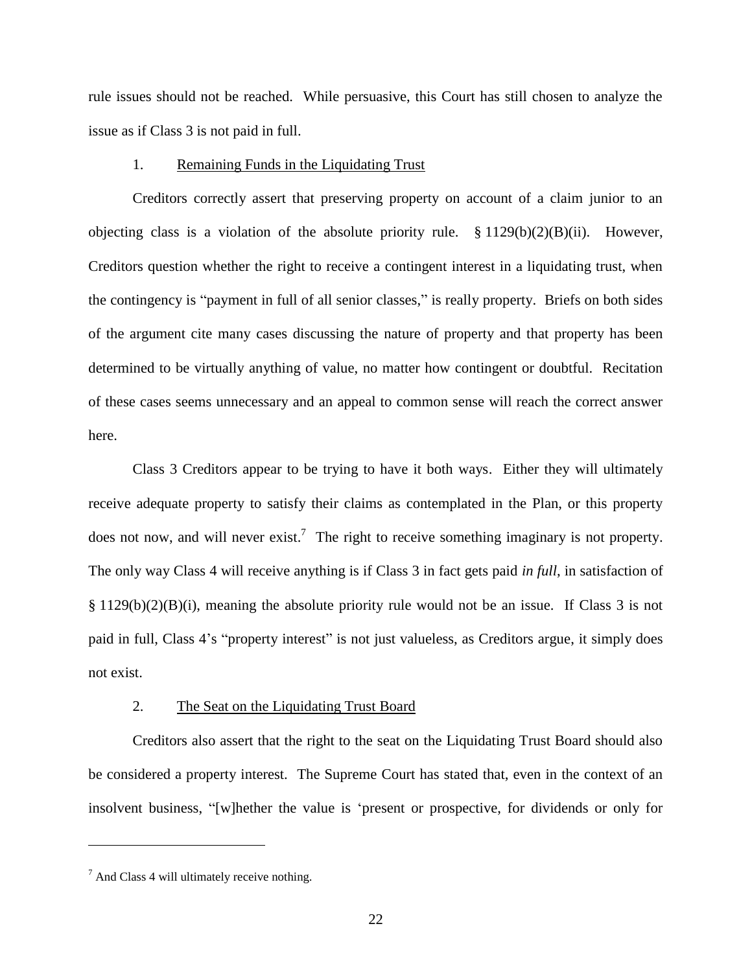rule issues should not be reached. While persuasive, this Court has still chosen to analyze the issue as if Class 3 is not paid in full.

#### 1. Remaining Funds in the Liquidating Trust

Creditors correctly assert that preserving property on account of a claim junior to an objecting class is a violation of the absolute priority rule. § 1129(b)(2)(B)(ii). However, Creditors question whether the right to receive a contingent interest in a liquidating trust, when the contingency is "payment in full of all senior classes," is really property. Briefs on both sides of the argument cite many cases discussing the nature of property and that property has been determined to be virtually anything of value, no matter how contingent or doubtful. Recitation of these cases seems unnecessary and an appeal to common sense will reach the correct answer here.

Class 3 Creditors appear to be trying to have it both ways. Either they will ultimately receive adequate property to satisfy their claims as contemplated in the Plan, or this property does not now, and will never exist.<sup>7</sup> The right to receive something imaginary is not property. The only way Class 4 will receive anything is if Class 3 in fact gets paid *in full*, in satisfaction of § 1129(b)(2)(B)(i), meaning the absolute priority rule would not be an issue. If Class 3 is not paid in full, Class 4's "property interest" is not just valueless, as Creditors argue, it simply does not exist.

## 2. The Seat on the Liquidating Trust Board

Creditors also assert that the right to the seat on the Liquidating Trust Board should also be considered a property interest. The Supreme Court has stated that, even in the context of an insolvent business, "[w]hether the value is 'present or prospective, for dividends or only for

 $<sup>7</sup>$  And Class 4 will ultimately receive nothing.</sup>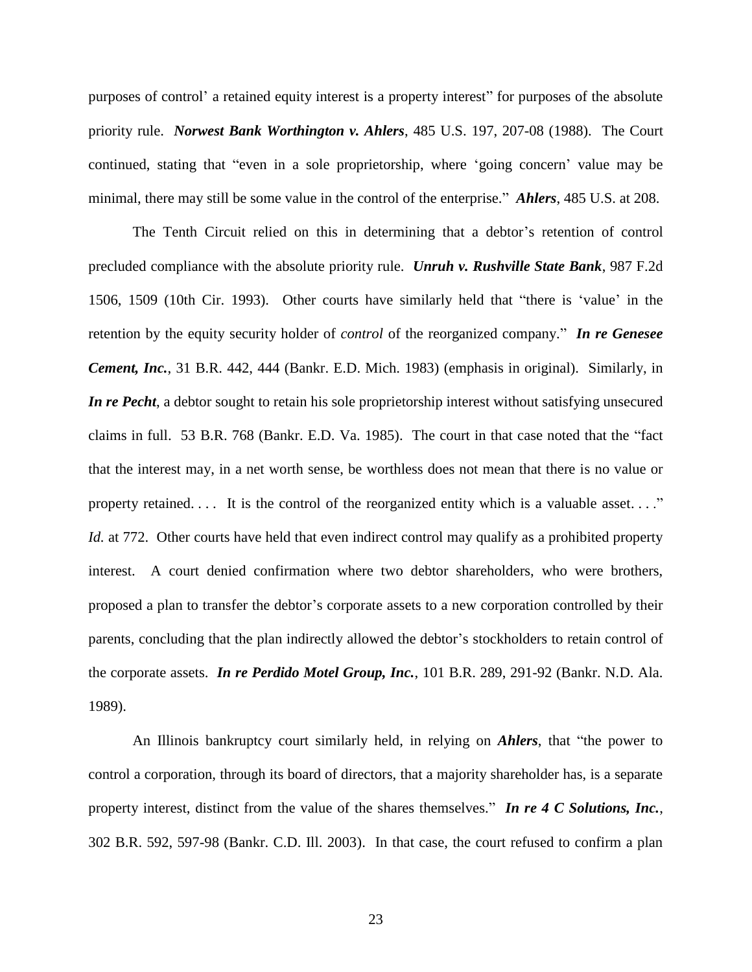purposes of control' a retained equity interest is a property interest" for purposes of the absolute priority rule. *Norwest Bank Worthington v. Ahlers*, 485 U.S. 197, 207-08 (1988). The Court continued, stating that "even in a sole proprietorship, where 'going concern' value may be minimal, there may still be some value in the control of the enterprise.‖ *Ahlers*, 485 U.S. at 208.

The Tenth Circuit relied on this in determining that a debtor's retention of control precluded compliance with the absolute priority rule. *Unruh v. Rushville State Bank*, 987 F.2d 1506, 1509 (10th Cir. 1993). Other courts have similarly held that "there is 'value' in the retention by the equity security holder of *control* of the reorganized company." **In re Genesee** *Cement, Inc.*, 31 B.R. 442, 444 (Bankr. E.D. Mich. 1983) (emphasis in original). Similarly, in *In re Pecht*, a debtor sought to retain his sole proprietorship interest without satisfying unsecured claims in full. 53 B.R. 768 (Bankr. E.D. Va. 1985). The court in that case noted that the "fact that the interest may, in a net worth sense, be worthless does not mean that there is no value or property retained.  $\dots$  It is the control of the reorganized entity which is a valuable asset.  $\dots$ " *Id.* at 772. Other courts have held that even indirect control may qualify as a prohibited property interest. A court denied confirmation where two debtor shareholders, who were brothers, proposed a plan to transfer the debtor's corporate assets to a new corporation controlled by their parents, concluding that the plan indirectly allowed the debtor's stockholders to retain control of the corporate assets. *In re Perdido Motel Group, Inc.*, 101 B.R. 289, 291-92 (Bankr. N.D. Ala. 1989).

An Illinois bankruptcy court similarly held, in relying on *Ahlers*, that "the power to control a corporation, through its board of directors, that a majority shareholder has, is a separate property interest, distinct from the value of the shares themselves." In re 4 C Solutions, Inc., 302 B.R. 592, 597-98 (Bankr. C.D. Ill. 2003). In that case, the court refused to confirm a plan

23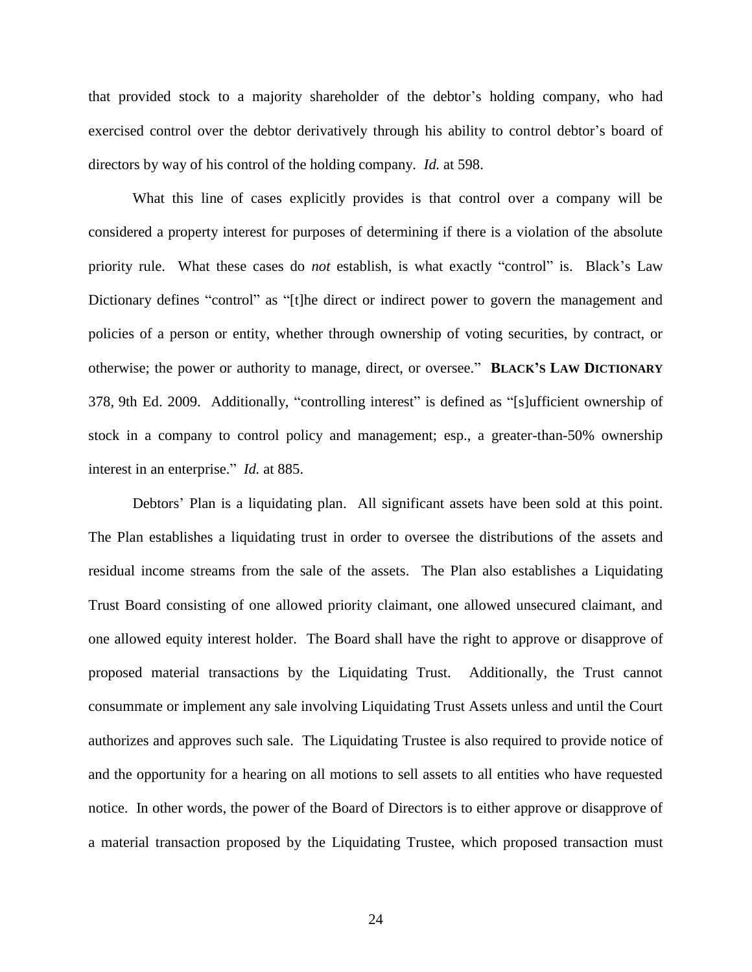that provided stock to a majority shareholder of the debtor's holding company, who had exercised control over the debtor derivatively through his ability to control debtor's board of directors by way of his control of the holding company. *Id.* at 598.

What this line of cases explicitly provides is that control over a company will be considered a property interest for purposes of determining if there is a violation of the absolute priority rule. What these cases do *not* establish, is what exactly "control" is. Black's Law Dictionary defines "control" as "[t]he direct or indirect power to govern the management and policies of a person or entity, whether through ownership of voting securities, by contract, or otherwise; the power or authority to manage, direct, or oversee.‖ **BLACK'S LAW DICTIONARY** 378, 9th Ed. 2009. Additionally, "controlling interest" is defined as "[s]ufficient ownership of stock in a company to control policy and management; esp., a greater-than-50% ownership interest in an enterprise." *Id.* at 885.

Debtors' Plan is a liquidating plan. All significant assets have been sold at this point. The Plan establishes a liquidating trust in order to oversee the distributions of the assets and residual income streams from the sale of the assets. The Plan also establishes a Liquidating Trust Board consisting of one allowed priority claimant, one allowed unsecured claimant, and one allowed equity interest holder. The Board shall have the right to approve or disapprove of proposed material transactions by the Liquidating Trust. Additionally, the Trust cannot consummate or implement any sale involving Liquidating Trust Assets unless and until the Court authorizes and approves such sale. The Liquidating Trustee is also required to provide notice of and the opportunity for a hearing on all motions to sell assets to all entities who have requested notice. In other words, the power of the Board of Directors is to either approve or disapprove of a material transaction proposed by the Liquidating Trustee, which proposed transaction must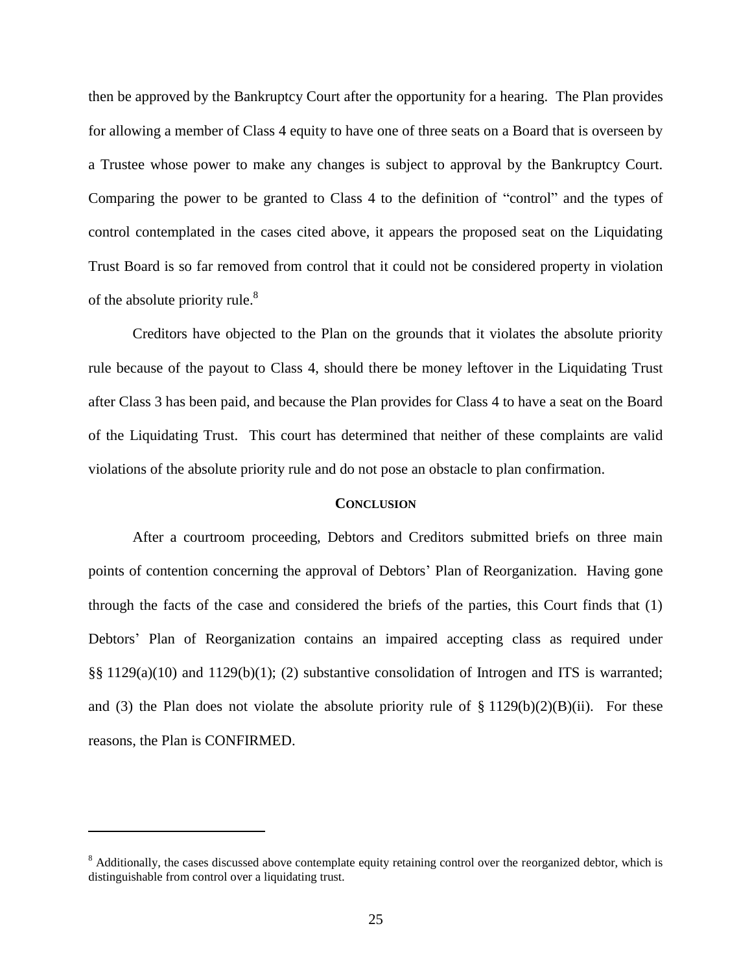then be approved by the Bankruptcy Court after the opportunity for a hearing. The Plan provides for allowing a member of Class 4 equity to have one of three seats on a Board that is overseen by a Trustee whose power to make any changes is subject to approval by the Bankruptcy Court. Comparing the power to be granted to Class 4 to the definition of "control" and the types of control contemplated in the cases cited above, it appears the proposed seat on the Liquidating Trust Board is so far removed from control that it could not be considered property in violation of the absolute priority rule. $8<sup>8</sup>$ 

Creditors have objected to the Plan on the grounds that it violates the absolute priority rule because of the payout to Class 4, should there be money leftover in the Liquidating Trust after Class 3 has been paid, and because the Plan provides for Class 4 to have a seat on the Board of the Liquidating Trust. This court has determined that neither of these complaints are valid violations of the absolute priority rule and do not pose an obstacle to plan confirmation.

## **CONCLUSION**

After a courtroom proceeding, Debtors and Creditors submitted briefs on three main points of contention concerning the approval of Debtors' Plan of Reorganization. Having gone through the facts of the case and considered the briefs of the parties, this Court finds that (1) Debtors' Plan of Reorganization contains an impaired accepting class as required under §§ 1129(a)(10) and 1129(b)(1); (2) substantive consolidation of Introgen and ITS is warranted; and (3) the Plan does not violate the absolute priority rule of  $\S 1129(b)(2)(B)(ii)$ . For these reasons, the Plan is CONFIRMED.

<sup>&</sup>lt;sup>8</sup> Additionally, the cases discussed above contemplate equity retaining control over the reorganized debtor, which is distinguishable from control over a liquidating trust.